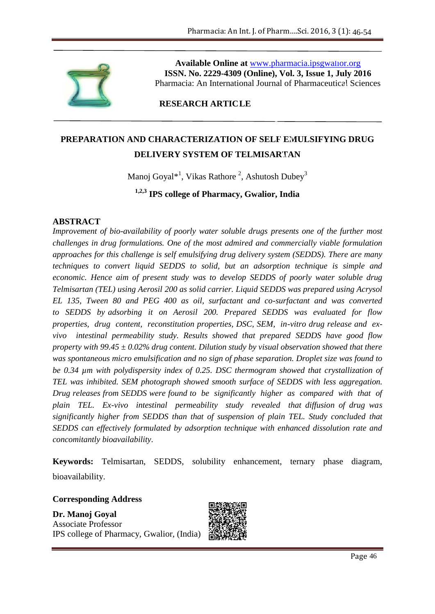

**Available Online at** [www.pharmacia.ipsgwalior.org](http://www.pharmacia.ipsgwalior.org/) **ISSN. No. 2229-4309 (Online), Vol. 3, Issue 1, July 2016** Pharmacia: An International Journal of Pharmaceutical Sciences Int. J. of Pharm....Sci. 2016, 3 (1): 46-54<br> **at www.pharmacia.ipsgwaltor.org**<br> **D** (Online), Vol. 3, Issue 1, July 2016<br>
onal Journal of Pharmaceutical Science

**RESEARCH ARTICLE** 

# **PREPARATION AND CHARACTERIZATION OF SELF EMULSIFYING DRUG DELIVERY SYSTEM OF TELMISARTAN**

Manoj Goyal $^{*1}$ , Vikas Rathore<sup>2</sup>, Ashutosh Dubey<sup>3</sup>

**1,2,3 IPS college of Pharmacy, Gwalior, India**

## **ABSTRACT**

*Improvement of bio-availability of poorly water soluble drugs presents one of the further most challenges in drug formulations. One of the most admired and commercially viable formulation approaches for this challenge is self emulsifying drug delivery system (SEDDS). There are many techniques to convert liquid SEDDS to solid, but an adsorption technique is simple and economic. Hence aim of present study was to develop SEDDS of poorly water soluble drug Telmisartan (TEL) using Aerosil 200 as solid carrier. Liquid SEDDS was prepared using Acrysol EL 135, Tween 80 and PEG 400 as oil, surfactant and co-surfactant and was converted to SEDDS by adsorbing it on Aerosil 200. Prepared SEDDS was evaluated for flow properties, drug content, reconstitution properties, DSC, SEM, in-vitro drug release and exvivo intestinal permeability study. Results showed that prepared SEDDS have good flow property with 99.45 ± 0.02% drug content. Dilution study by visual observation showed that there was spontaneous micro emulsification and no sign of phase separation. Droplet size was found to be 0.34 µm with polydispersity index of 0.25. DSC thermogram showed that crystallization of TEL was inhibited. SEM photograph showed smooth surface of SEDDS with less aggregation. Drug releases from SEDDS were found to be significantly higher as compared with that of plain TEL. Ex-vivo intestinal permeability study revealed that diffusion of drug was significantly higher from SEDDS than that of suspension of plain TEL. Study concluded that SEDDS can effectively formulated by adsorption technique with enhanced dissolution rate and concomitantly bioavailability.*

**Keywords:** Telmisartan, SEDDS, solubility enhancement, ternary phase diagram, bioavailability.

**Corresponding Address** 

**Dr. Manoj Goyal** Associate Professor IPS college of Pharmacy, Gwalior, (India)

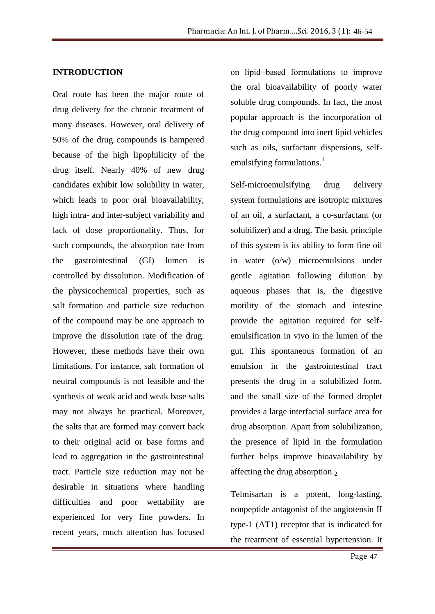### **INTRODUCTION**

Oral route has been the major route of drug delivery for the chronic treatment of many diseases. However, oral delivery of 50% of the drug compounds is hampered because of the high lipophilicity of the drug itself. Nearly 40% of new drug candidates exhibit low solubility in water, which leads to poor oral bioavailability, high intra- and inter-subject variability and lack of dose proportionality. Thus, for such compounds, the absorption rate from the gastrointestinal (GI) lumen is controlled by dissolution. Modification of the physicochemical properties, such as salt formation and particle size reduction of the compound may be one approach to improve the dissolution rate of the drug. However, these methods have their own limitations. For instance, salt formation of neutral compounds is not feasible and the synthesis of weak acid and weak base salts may not always be practical. Moreover, the salts that are formed may convert back to their original acid or base forms and lead to aggregation in the gastrointestinal tract. Particle size reduction may not be desirable in situations where handling difficulties and poor wettability are experienced for very fine powders. In recent years, much attention has focused

on lipid−based formulations to improve the oral bioavailability of poorly water soluble drug compounds. In fact, the most popular approach is the incorporation of the drug compound into inert lipid vehicles such as oils, surfactant dispersions, selfemulsifying formulations.<sup>1</sup>

Self-microemulsifying drug delivery system formulations are isotropic mixtures of an oil, a surfactant, a co-surfactant (or solubilizer) and a drug. The basic principle of this system is its ability to form fine oil in water (o/w) microemulsions under gentle agitation following dilution by aqueous phases that is, the digestive motility of the stomach and intestine provide the agitation required for selfemulsification in vivo in the lumen of the gut. This spontaneous formation of an emulsion in the gastrointestinal tract presents the drug in a solubilized form, and the small size of the formed droplet provides a large interfacial surface area for drug absorption. Apart from solubilization, the presence of lipid in the formulation further helps improve bioavailability by affecting the drug absorption.<sup>2</sup>

Telmisartan is a potent, long-lasting, nonpeptide antagonist of the angiotensin II type-1 (AT1) receptor that is indicated for the treatment of essential hypertension. It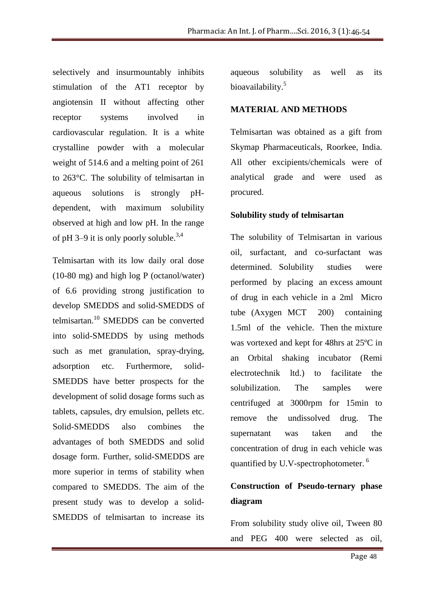selectively and insurmountably inhibits stimulation of the AT1 receptor by angiotensin II without affecting other receptor systems involved in cardiovascular regulation. It is a white crystalline powder with a molecular weight of 514.6 and a melting point of 261 to 263°C. The solubility of telmisartan in aqueous solutions is strongly pHdependent, with maximum solubility observed at high and low pH. In the range of pH 3–9 it is only poorly soluble.<sup>3,4</sup>

Telmisartan with its low daily oral dose (10-80 mg) and high log P (octanol/water) of 6.6 providing strong justification to develop SMEDDS and solid-SMEDDS of telmisartan.<sup>10</sup> SMEDDS can be converted into solid-SMEDDS by using methods such as met granulation, spray-drying, adsorption etc. Furthermore, solid-SMEDDS have better prospects for the development of solid dosage forms such as tablets, capsules, dry emulsion, pellets etc. Solid-SMEDDS also combines the advantages of both SMEDDS and solid dosage form. Further, solid-SMEDDS are more superior in terms of stability when compared to SMEDDS. The aim of the present study was to develop a solid-SMEDDS of telmisartan to increase its

aqueous solubility as well as its bioavailability.<sup>5</sup>

### **MATERIAL AND METHODS**

Telmisartan was obtained as a gift from Skymap Pharmaceuticals, Roorkee, India. All other excipients/chemicals were of analytical grade and were used as procured.

### **Solubility study of telmisartan**

The solubility of Telmisartan in various oil, surfactant, and co-surfactant was determined. Solubility studies were performed by placing an excess amount of drug in each vehicle in a 2ml Micro tube (Axygen MCT 200) containing 1.5ml of the vehicle. Then the mixture was vortexed and kept for 48hrs at 25ºC in an Orbital shaking incubator (Remi electrotechnik ltd.) to facilitate the solubilization. The samples were centrifuged at 3000rpm for 15min to remove the undissolved drug. The supernatant was taken and the concentration of drug in each vehicle was quantified by U.V-spectrophotometer.<sup>6</sup> 46-54<br>
as i<br>
igift from<br>
as i<br>
igift from<br>
ee, Indi<br>
were dused<br>
ightarrow were<br>
ightarrow were samoun<br>
1 Microntainin<br>
1 Microntainin<br>
1 Microntainin<br>
1 Microntainin<br>
1 Microntainin<br>
1 Microntainin<br>
1 Microntainin<br>
1 Micr

# **Construction of Pseudo-ternary phase diagram**

From solubility study olive oil, Tween 80 and PEG 400 were selected as oil,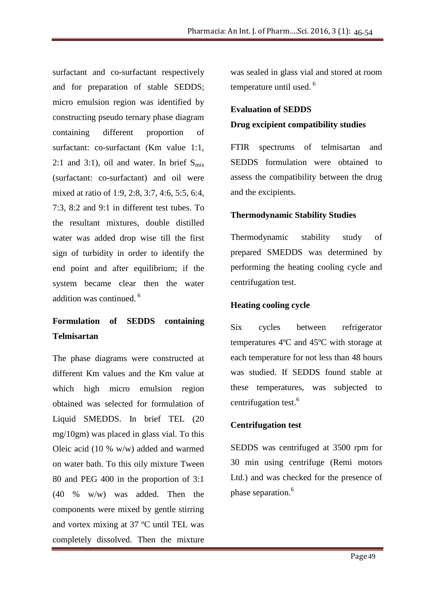surfactant and co-surfactant respectively and for preparation of stable SEDDS; micro emulsion region was identified by constructing pseudo ternary phase diagram containing different proportion of surfactant: co-surfactant (Km value 1:1, 2:1 and 3:1), oil and water. In brief  $S_{mix}$ (surfactant: co-surfactant) and oil were mixed at ratio of 1:9, 2:8, 3:7, 4:6, 5:5, 6:4, 7:3, 8:2 and 9:1 in different test tubes. To the resultant mixtures, double distilled water was added drop wise till the first sign of turbidity in order to identify the end point and after equilibrium; if the system became clear then the water addition was continued. <sup>6</sup>

# **Formulation of SEDDS containing Telmisartan**

The phase diagrams were constructed at different Km values and the Km value at which high micro emulsion region obtained was selected for formulation of Liquid SMEDDS. In brief TEL (20 mg/10gm) was placed in glass vial. To this Oleic acid (10 % w/w) added and warmed on water bath. To this oily mixture Tween 80 and PEG 400 in the proportion of 3:1 (40 % w/w) was added. Then the components were mixed by gentle stirring and vortex mixing at 37 ºC until TEL was completely dissolved. Then the mixture

was sealed in glass vial and stored at room temperature until used.<sup>6</sup>

# **Evaluation of SEDDS**

## **Drug excipient compatibility studies**

FTIR spectrums of telmisartan and SEDDS formulation were obtained to assess the compatibility between the drug and the excipients.

## **Thermodynamic Stability Studies**

Thermodynamic stability study of prepared SMEDDS was determined by performing the heating cooling cycle and centrifugation test.

## **Heating cooling cycle**

Six cycles between refrigerator temperatures 4ºC and 45ºC with storage at each temperature for not less than 48 hours was studied. If SEDDS found stable at these temperatures, was subjected to centrifugation test. 6 46-54<br>at roo<br>dies<br>an al ined<br>ined the dru<br>sined the dru<br>sine all<br>the dru<br>sines<br>the dru<br>sine drumage 18<br>hou<br>table<br>ted<br>functions

## **Centrifugation test**

SEDDS was centrifuged at 3500 rpm for 30 min using centrifuge (Remi motors Ltd.) and was checked for the presence of phase separation.<sup>6</sup>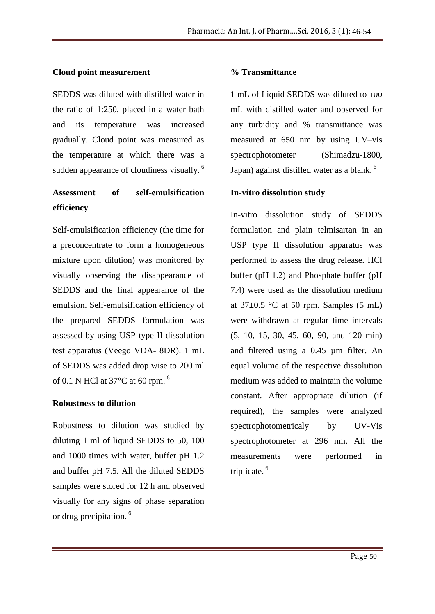### **Cloud point measurement**

SEDDS was diluted with distilled water in the ratio of 1:250, placed in a water bath and its temperature was increased gradually. Cloud point was measured as the temperature at which there was a sudden appearance of cloudiness visually.<sup>6</sup>

## **Assessment of self-emulsification efficiency**

Self-emulsification efficiency (the time for a preconcentrate to form a homogeneous mixture upon dilution) was monitored by visually observing the disappearance of SEDDS and the final appearance of the emulsion. Self-emulsification efficiency of the prepared SEDDS formulation was assessed by using USP type-II dissolution test apparatus (Veego VDA- 8DR). 1 mL of SEDDS was added drop wise to 200 ml of 0.1 N HCl at 37 $^{\circ}$ C at 60 rpm.  $^{\circ}$ 

#### **Robustness to dilution**

Robustness to dilution was studied by diluting 1 ml of liquid SEDDS to 50, 100 and 1000 times with water, buffer pH 1.2 and buffer pH 7.5. All the diluted SEDDS samples were stored for 12 h and observed visually for any signs of phase separation or drug precipitation. <sup>6</sup>

#### **% Transmittance**

1 mL of Liquid SEDDS was diluted to 100 mL with distilled water and observed for any turbidity and % transmittance was measured at 650 nm by using UV–vis spectrophotometer (Shimadzu-1800, Japan) against distilled water as a blank.<sup>6</sup>

### **In-vitro dissolution study**

In-vitro dissolution study of SEDDS formulation and plain telmisartan in an USP type II dissolution apparatus was performed to assess the drug release. HCl buffer (pH 1.2) and Phosphate buffer (pH 7.4) were used as the dissolution medium at  $37\pm0.5$  °C at 50 rpm. Samples (5 mL) were withdrawn at regular time intervals (5, 10, 15, 30, 45, 60, 90, and 120 min) and filtered using a 0.45 µm filter. An equal volume of the respective dissolution medium was added to maintain the volume constant. After appropriate dilution (if required), the samples were analyzed spectrophotometricaly by UV-Vis spectrophotometer at 296 nm. All the measurements were performed in triplicate. <sup>6</sup> 46-54<br>
ed to 1t<br>
ed to 1t<br>
erved fo<br>
mee wa<br>
UV-v<br>
zu-180<br>
blank. <sup>6</sup><br>
SEDD<br>
n in a<br>
tus wa<br>
sase. H(<br>
ffer (p<br>
medium<br>
ilter. A<br>
ssolutic<br>
y UV-V<br>
All the volum<br>
ture volum<br>
ture volum<br>
ture danglyze<br>
UV-V<br>
All the d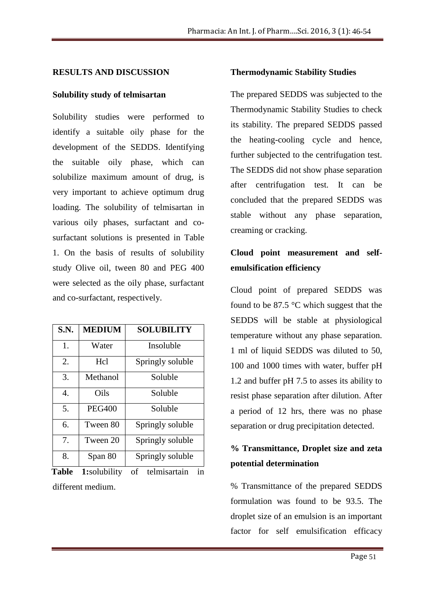### **RESULTS AND DISCUSSION**

#### **Solubility study of telmisartan**

Solubility studies were performed to identify a suitable oily phase for the development of the SEDDS. Identifying the suitable oily phase, which can solubilize maximum amount of drug, is very important to achieve optimum drug loading. The solubility of telmisartan in various oily phases, surfactant and cosurfactant solutions is presented in Table 1. On the basis of results of solubility study Olive oil, tween 80 and PEG 400 were selected as the oily phase, surfactant and co-surfactant, respectively.

| S.N. | <b>MEDIUM</b> | <b>SOLUBILITY</b> |
|------|---------------|-------------------|
| 1.   | Water         | Insoluble         |
| 2.   | Hcl           | Springly soluble  |
| 3.   | Methanol      | Soluble           |
| 4.   | Oils          | Soluble           |
| 5.   | <b>PEG400</b> | Soluble           |
| 6.   | Tween 80      | Springly soluble  |
| 7.   | Tween 20      | Springly soluble  |
| 8.   | Span 80       | Springly soluble  |

**Table 1:**solubility of telmisartain in different medium.

### **Thermodynamic Stability Studies**

The prepared SEDDS was subjected to the Thermodynamic Stability Studies to check its stability. The prepared SEDDS passed the heating-cooling cycle and hence, further subjected to the centrifugation test. The SEDDS did not show phase separation after centrifugation test. It can be concluded that the prepared SEDDS was stable without any phase separation, creaming or cracking.

## **Cloud point measurement and selfemulsification efficiency**

Cloud point of prepared SEDDS was found to be  $87.5 \text{ °C}$  which suggest that the SEDDS will be stable at physiological temperature without any phase separation. 1 ml of liquid SEDDS was diluted to 50, 100 and 1000 times with water, buffer pH 1.2 and buffer pH 7.5 to asses its ability to resist phase separation after dilution. After a period of 12 hrs, there was no phase separation or drug precipitation detected. 46-54<br>
ss<br>
ed to the to chece S<br>
passe henc<br>
henc tion tes<br>
paratic can<br>
laborg wise paratio<br>
paratio<br>
d sel<br>
DS wise that the sel<br>
DS wise paratio<br>
d sel<br>
DS wise that the sel<br>
DS wise that the sel<br>
pability<br>
on. Aft<br>
tec

## **% Transmittance, Droplet size and zeta potential determination**

% Transmittance of the prepared SEDDS formulation was found to be 93.5. The droplet size of an emulsion is an important factor for self emulsification efficacy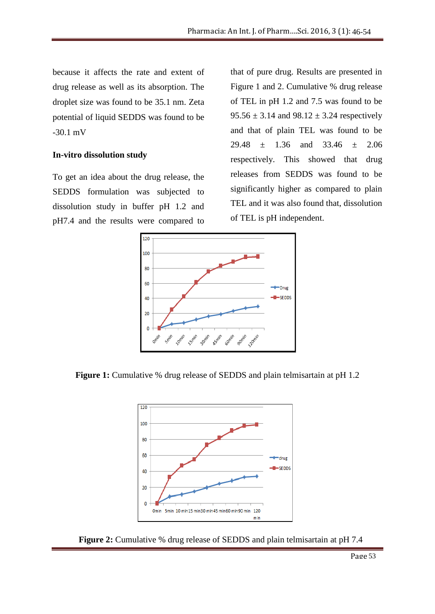because it affects the rate and extent of drug release as well as its absorption. The droplet size was found to be 35.1 nm. Zeta potential of liquid SEDDS was found to be -30.1 mV

### **In-vitro dissolution study**

To get an idea about the drug release, the SEDDS formulation was subjected to dissolution study in buffer pH 1.2 and pH7.4 and the results were compared to

that of pure drug. Results are presented in Figure 1 and 2. Cumulative % drug release of TEL in pH 1.2 and 7.5 was found to be 95.56  $\pm$  3.14 and 98.12  $\pm$  3.24 respectively and that of plain TEL was found to be 29.48 ± 1.36 and 33.46 ± 2.06 respectively. This showed that drug releases from SEDDS was found to be significantly higher as compared to plain TEL and it was also found that, dissolution of TEL is pH independent.  $46-54$ <br>sented<br>g releamd to 1<br>pective<br>ind to 1<br> $\pm$  2.0<br>to pla<br>ssolutic<br>.2<br>.2



**Figure 1:** Cumulative % drug release of SEDDS and plain telmisartain at pH 1.2



**Figure 2:** Cumulative % drug release of SEDDS and plain telmisartain at pH 7.4